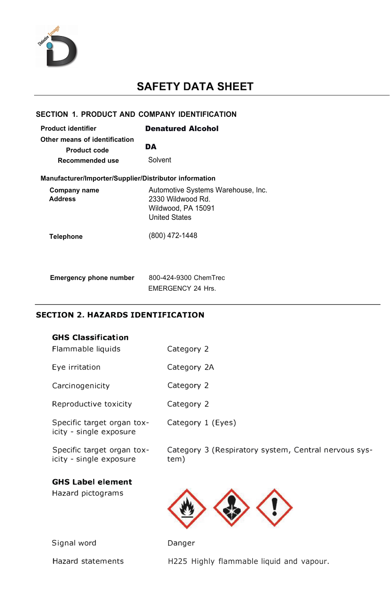

# **SAFETY DATA SHEET**

### **SECTION 1. PRODUCT AND COMPANY IDENTIFICATION**

| <b>Product identifier</b>                              | <b>Denatured Alcohol</b>                                                                       |  |  |
|--------------------------------------------------------|------------------------------------------------------------------------------------------------|--|--|
| Other means of identification<br><b>Product code</b>   | DA                                                                                             |  |  |
| Recommended use                                        | Solvent                                                                                        |  |  |
| Manufacturer/Importer/Supplier/Distributor information |                                                                                                |  |  |
| Company name<br><b>Address</b>                         | Automotive Systems Warehouse, Inc.<br>2330 Wildwood Rd.<br>Wildwood, PA 15091<br>United States |  |  |
| Telephone                                              | (800) 472-1448                                                                                 |  |  |
| <b>Emergency phone number</b>                          | 800-424-9300 ChemTrec<br>FMFRGFNCY 24 Hrs.                                                     |  |  |

# **SECTION 2. HAZARDS IDENTIFICATION**

| <b>GHS Classification</b><br>Flammable liquids        | Category 2                                                   |
|-------------------------------------------------------|--------------------------------------------------------------|
| Eye irritation                                        | Category 2A                                                  |
| Carcinogenicity                                       | Category 2                                                   |
| Reproductive toxicity                                 | Category 2                                                   |
| Specific target organ tox-<br>icity - single exposure | Category 1 (Eyes)                                            |
| Specific target organ tox-<br>icity - single exposure | Category 3 (Respiratory system, Central nervous sys-<br>tem) |
| <b>GHS Label element</b><br>Hazard pictograms         |                                                              |
| Signal word                                           | Danger                                                       |

Signal word

Hazard statements

H225 Highly flammable liquid and vapour.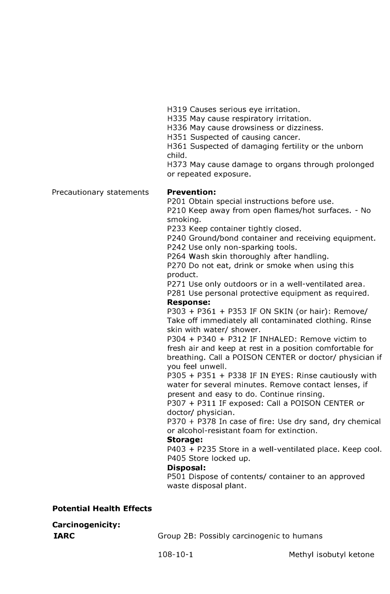H319 Causes serious eye irritation.

H335 May cause respiratory irritation.

H336 May cause drowsiness or dizziness.

H351 Suspected of causing cancer.

H361 Suspected of damaging fertility or the unborn child.

H373 May cause damage to organs through prolonged or repeated exposure.

Precautionary statements

### **Prevention:**

P201 Obtain special instructions before use.

P210 Keep away from open flames/hot surfaces. - No smoking.

P233 Keep container tightly closed.

P240 Ground/bond container and receiving equipment.

P242 Use only non-sparking tools. P264 Wash skin thoroughly after handling.

P270 Do not eat, drink or smoke when using this product.

P271 Use only outdoors or in a well-ventilated area.

P281 Use personal protective equipment as required.

### **Response:**

P303 + P361 + P353 IF ON SKIN (or hair): Remove/ Take off immediately all contaminated clothing. Rinse skin with water/ shower.

P304 + P340 + P312 IF INHALED: Remove victim to fresh air and keep at rest in a position comfortable for breathing. Call a POISON CENTER or doctor/ physician if you feel unwell.

P305 + P351 + P338 IF IN EYES: Rinse cautiously with water for several minutes. Remove contact lenses, if present and easy to do. Continue rinsing.

P307 + P311 IF exposed: Call a POISON CENTER or doctor/ physician.

P370 + P378 In case of fire: Use dry sand, dry chemical or alcohol-resistant foam for extinction.

### **Storage:**

P403 + P235 Store in a well-ventilated place. Keep cool. P405 Store locked up.

### **Disposal:**

P501 Dispose of contents/ container to an approved waste disposal plant.

### **Potential Health Effects**

**Carcinogenicity: IARC** 

Group 28: Possibly carcinogenic to humans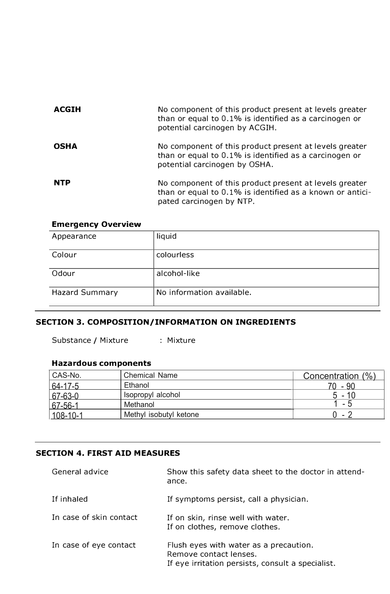| <b>ACGIH</b> | No component of this product present at levels greater<br>than or equal to 0.1% is identified as a carcinogen or<br>potential carcinogen by ACGIH. |
|--------------|----------------------------------------------------------------------------------------------------------------------------------------------------|
| <b>OSHA</b>  | No component of this product present at levels greater<br>than or equal to 0.1% is identified as a carcinogen or<br>potential carcinogen by OSHA.  |
| <b>NTP</b>   | No component of this product present at levels greater<br>than or equal to 0.1% is identified as a known or antici-<br>pated carcinogen by NTP.    |

### **Emergency Overview**

| Appearance            | liquid                    |
|-----------------------|---------------------------|
| Colour                | colourless                |
| Odour                 | alcohol-like              |
| <b>Hazard Summary</b> | No information available. |

# **SECTION 3. COMPOSITION/INFORMATION ON INGREDIENTS**

Substance / Mixture : Mixture

# **Hazardous components**

| CAS-No.        | <b>Chemical Name</b>   | Concentration (%) |
|----------------|------------------------|-------------------|
| 64-17-5        | Ethanol                | 70 - 90           |
| $ 67-63-0 $    | Isopropyl alcohol      | $5 - 10$          |
| $67 - 56 - 1$  | Methanol               | - 5               |
| $108 - 10 - 1$ | Methyl isobutyl ketone | $-7$              |

# **SECTION 4. FIRST AID MEASURES**

| General advice          | Show this safety data sheet to the doctor in attend-<br>ance.                                                         |
|-------------------------|-----------------------------------------------------------------------------------------------------------------------|
| If inhaled              | If symptoms persist, call a physician.                                                                                |
| In case of skin contact | If on skin, rinse well with water.<br>If on clothes, remove clothes.                                                  |
| In case of eye contact  | Flush eyes with water as a precaution.<br>Remove contact lenses.<br>If eye irritation persists, consult a specialist. |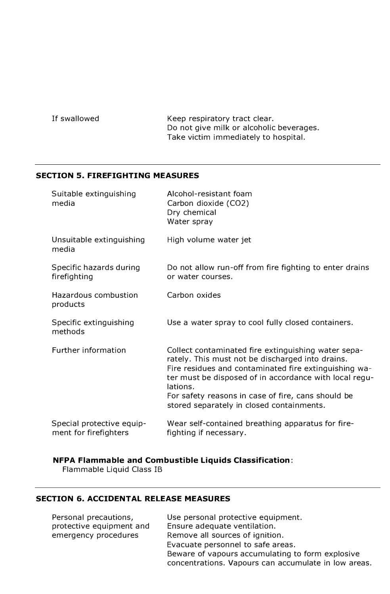If swallowed Keep respiratory tract clear. Do not give milk or alcoholic beverages. Take victim immediately to hospital.

### **SECTION 5. FIREFIGHTING MEASURES**

| Suitable extinguishing<br>media                    | Alcohol-resistant foam<br>Carbon dioxide (CO2)<br>Dry chemical<br>Water spray                                                                                                                                                                                                                                                             |
|----------------------------------------------------|-------------------------------------------------------------------------------------------------------------------------------------------------------------------------------------------------------------------------------------------------------------------------------------------------------------------------------------------|
| Unsuitable extinguishing<br>media                  | High volume water jet                                                                                                                                                                                                                                                                                                                     |
| Specific hazards during<br>firefighting            | Do not allow run-off from fire fighting to enter drains<br>or water courses.                                                                                                                                                                                                                                                              |
| Hazardous combustion<br>products                   | Carbon oxides                                                                                                                                                                                                                                                                                                                             |
| Specific extinguishing<br>methods                  | Use a water spray to cool fully closed containers.                                                                                                                                                                                                                                                                                        |
| Further information                                | Collect contaminated fire extinguishing water sepa-<br>rately. This must not be discharged into drains.<br>Fire residues and contaminated fire extinguishing wa-<br>ter must be disposed of in accordance with local regu-<br>lations.<br>For safety reasons in case of fire, cans should be<br>stored separately in closed containments. |
| Special protective equip-<br>ment for firefighters | Wear self-contained breathing apparatus for fire-<br>fighting if necessary.                                                                                                                                                                                                                                                               |

# **NFPA Flammable and Combustible Liquids Classification:**

Flammable Liquid Class 1B

# **SECTION 6. ACCIDENTAL RELEASE MEASURES**

| Personal precautions,    | Use personal protective equipment.                   |
|--------------------------|------------------------------------------------------|
| protective equipment and | Ensure adequate ventilation.                         |
| emergency procedures     | Remove all sources of ignition.                      |
|                          | Evacuate personnel to safe areas.                    |
|                          | Beware of vapours accumulating to form explosive     |
|                          | concentrations. Vapours can accumulate in low areas. |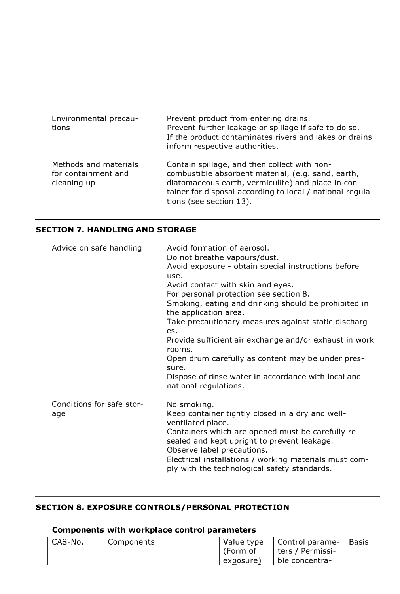| Environmental precau-<br>tions                              | Prevent product from entering drains.<br>Prevent further leakage or spillage if safe to do so.<br>If the product contaminates rivers and lakes or drains<br>inform respective authorities.                                                       |
|-------------------------------------------------------------|--------------------------------------------------------------------------------------------------------------------------------------------------------------------------------------------------------------------------------------------------|
| Methods and materials<br>for containment and<br>cleaning up | Contain spillage, and then collect with non-<br>combustible absorbent material, (e.g. sand, earth,<br>diatomaceous earth, vermiculite) and place in con-<br>tainer for disposal according to local / national regula-<br>tions (see section 13). |

# **SECTION 7. HANDLING AND STORAGE**

| Advice on safe handling          | Avoid formation of aerosol.<br>Do not breathe vapours/dust.<br>Avoid exposure - obtain special instructions before<br>use.<br>Avoid contact with skin and eyes.<br>For personal protection see section 8.<br>Smoking, eating and drinking should be prohibited in<br>the application area.<br>Take precautionary measures against static discharg-<br>es.<br>Provide sufficient air exchange and/or exhaust in work<br>rooms.<br>Open drum carefully as content may be under pres-<br>sure.<br>Dispose of rinse water in accordance with local and<br>national regulations. |
|----------------------------------|-----------------------------------------------------------------------------------------------------------------------------------------------------------------------------------------------------------------------------------------------------------------------------------------------------------------------------------------------------------------------------------------------------------------------------------------------------------------------------------------------------------------------------------------------------------------------------|
| Conditions for safe stor-<br>age | No smoking.<br>Keep container tightly closed in a dry and well-<br>ventilated place.<br>Containers which are opened must be carefully re-<br>sealed and kept upright to prevent leakage.<br>Observe label precautions.<br>Electrical installations / working materials must com-<br>ply with the technological safety standards.                                                                                                                                                                                                                                            |

# **SECTION 8. EXPOSURE CONTROLS/PERSONAL PROTECTION**

# **Components with workplace control parameters**

| <sup>'</sup> CAS-No. | Components | Value type | Control parame-  | l Basis |
|----------------------|------------|------------|------------------|---------|
|                      |            | . (Form of | ters / Permissi- |         |
|                      |            | exposure)  | ble concentra-   |         |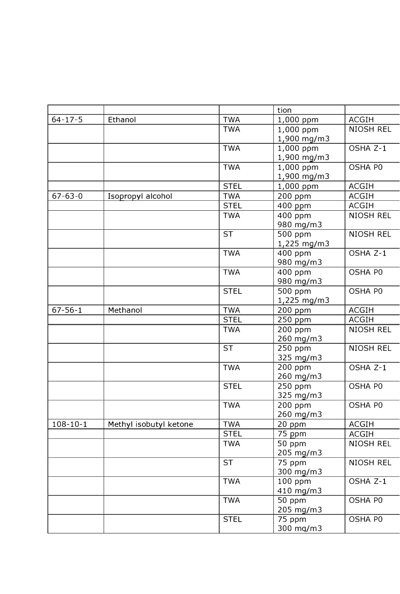|                |                        |             | tion                |                  |
|----------------|------------------------|-------------|---------------------|------------------|
| $64 - 17 - 5$  | Ethanol                | <b>TWA</b>  | 1,000 ppm           | <b>ACGIH</b>     |
|                |                        | <b>TWA</b>  | 1,000 ppm           | <b>NIOSH REL</b> |
|                |                        |             | 1,900 mg/m3         |                  |
|                |                        | <b>TWA</b>  | 1,000 ppm           | OSHA Z-1         |
|                |                        |             | 1,900 mg/m3         |                  |
|                |                        | <b>TWA</b>  | 1,000 ppm           | OSHA P0          |
|                |                        |             | 1,900 mg/m3         |                  |
|                |                        | <b>STEL</b> | 1,000 ppm           | <b>ACGIH</b>     |
| $67 - 63 - 0$  | Isopropyl alcohol      | <b>TWA</b>  | 200 ppm             | <b>ACGIH</b>     |
|                |                        | <b>STEL</b> | 400 ppm             | <b>ACGIH</b>     |
|                |                        | <b>TWA</b>  | 400 ppm             | <b>NIOSH REL</b> |
|                |                        |             | 980 mg/m3           |                  |
|                |                        | <b>ST</b>   | 500 ppm             | <b>NIOSH REL</b> |
|                |                        |             | 1,225 mg/m3         |                  |
|                |                        | <b>TWA</b>  | 400 ppm             | OSHA Z-1         |
|                |                        |             | 980 mg/m3           |                  |
|                |                        | <b>TWA</b>  | 400 ppm             | OSHA PO          |
|                |                        |             | 980 mg/m3           |                  |
|                |                        | <b>STEL</b> | 500 ppm             | OSHA PO          |
|                |                        |             | 1,225 mg/m3         |                  |
| $67 - 56 - 1$  | Methanol               | <b>TWA</b>  | 200 ppm             | <b>ACGIH</b>     |
|                |                        | <b>STEL</b> | 250 ppm             | <b>ACGIH</b>     |
|                |                        | <b>TWA</b>  | 200 ppm             | <b>NIOSH REL</b> |
|                |                        |             | 260 mg/m3           |                  |
|                |                        | <b>ST</b>   | 250 ppm             | <b>NIOSH REL</b> |
|                |                        |             | 325 mg/m3           |                  |
|                |                        | <b>TWA</b>  | 200 ppm             | OSHA Z-1         |
|                |                        |             | 260 mg/m3           |                  |
|                |                        | <b>STEL</b> | 250 ppm             | OSHA PO          |
|                |                        |             | 325 mg/m3           |                  |
|                |                        | <b>TWA</b>  | 200 ppm             | OSHA PO          |
|                |                        |             | 260 mg/m3           |                  |
| $108 - 10 - 1$ | Methyl isobutyl ketone | <b>TWA</b>  | 20 ppm              | <b>ACGIH</b>     |
|                |                        | <b>STEL</b> | 75 ppm              | <b>ACGIH</b>     |
|                |                        | <b>TWA</b>  | $\overline{50}$ ppm | <b>NIOSH REL</b> |
|                |                        |             | 205 mg/m3           |                  |
|                |                        | <b>ST</b>   | 75 ppm              | <b>NIOSH REL</b> |
|                |                        |             | 300 mg/m3           |                  |
|                |                        | <b>TWA</b>  | $100$ ppm           | OSHA Z-1         |
|                |                        |             | 410 mg/m3           |                  |
|                |                        | <b>TWA</b>  | 50 ppm              | OSHA PO          |
|                |                        |             | 205 mg/m3           |                  |
|                |                        | <b>STEL</b> | 75 ppm              | OSHA PO          |
|                |                        |             | 300 mg/m3           |                  |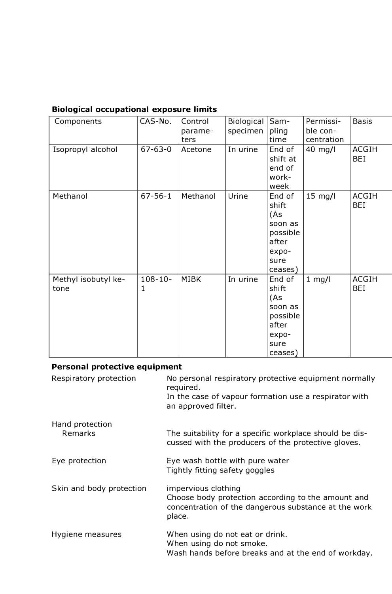# **Biological occupational exposure limits**

| Components                  | CAS-No.           | Control<br>parame- | <b>Biological</b><br>specimen | Sam-<br>pling                                                                      | Permissi-<br>ble con- | <b>Basis</b>               |
|-----------------------------|-------------------|--------------------|-------------------------------|------------------------------------------------------------------------------------|-----------------------|----------------------------|
|                             |                   | ters               |                               | time                                                                               | centration            |                            |
| Isopropyl alcohol           | $67 - 63 - 0$     | Acetone            | In urine                      | End of<br>shift at<br>end of<br>work-<br>week                                      | 40 mg/l               | <b>ACGIH</b><br><b>BEI</b> |
| Methanol                    | $67 - 56 - 1$     | Methanol           | Urine                         | End of<br>shift<br>(As<br>soon as<br>possible<br>after<br>expo-<br>sure<br>ceases) | 15 mg/l               | <b>ACGIH</b><br><b>BEI</b> |
| Methyl isobutyl ke-<br>tone | $108 - 10 -$<br>1 | <b>MIBK</b>        | In urine                      | End of<br>shift<br>(As<br>soon as<br>possible<br>after<br>expo-<br>sure<br>ceases) | $1$ mg/l              | <b>ACGIH</b><br><b>BEI</b> |

# **Personal protective equipment**

| Respiratory protection   | No personal respiratory protective equipment normally<br>required.                                                                          |
|--------------------------|---------------------------------------------------------------------------------------------------------------------------------------------|
|                          | In the case of vapour formation use a respirator with<br>an approved filter.                                                                |
| Hand protection          |                                                                                                                                             |
| <b>Remarks</b>           | The suitability for a specific workplace should be dis-<br>cussed with the producers of the protective gloves.                              |
| Eye protection           | Eye wash bottle with pure water<br>Tightly fitting safety goggles                                                                           |
| Skin and body protection | impervious clothing<br>Choose body protection according to the amount and<br>concentration of the dangerous substance at the work<br>place. |
| Hygiene measures         | When using do not eat or drink.<br>When using do not smoke.<br>Wash hands before breaks and at the end of workday.                          |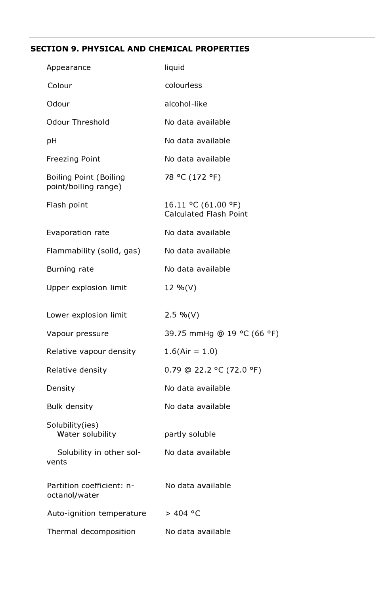# **SECTION 9. PHYSICAL AND CHEMICAL PROPERTIES**

| Appearance                                            | liquid                                               |
|-------------------------------------------------------|------------------------------------------------------|
| Colour                                                | colourless                                           |
| Odour                                                 | alcohol-like                                         |
| <b>Odour Threshold</b>                                | No data available                                    |
| рH                                                    | No data available                                    |
| <b>Freezing Point</b>                                 | No data available                                    |
| <b>Boiling Point (Boiling</b><br>point/boiling range) | 78 °C (172 °F)                                       |
| Flash point                                           | 16.11 °C (61.00 °F)<br><b>Calculated Flash Point</b> |
| Evaporation rate                                      | No data available                                    |
| Flammability (solid, gas)                             | No data available                                    |
| Burning rate                                          | No data available                                    |
| Upper explosion limit                                 | 12 %(V)                                              |
| Lower explosion limit                                 | $2.5 %$ (V)                                          |
| Vapour pressure                                       | 39.75 mmHg @ 19 °C (66 °F)                           |
| Relative vapour density                               | $1.6$ (Air = 1.0)                                    |
| Relative density                                      | 0.79 @ 22.2 °C (72.0 °F)                             |
| Density                                               | No data available                                    |
| <b>Bulk density</b>                                   | No data available                                    |
| Solubility(ies)<br>Water solubility                   | partly soluble                                       |
| Solubility in other sol-<br>vents                     | No data available                                    |
| Partition coefficient: n-<br>octanol/water            | No data available                                    |
| Auto-ignition temperature                             | > 404 °C                                             |
| Thermal decomposition                                 | No data available                                    |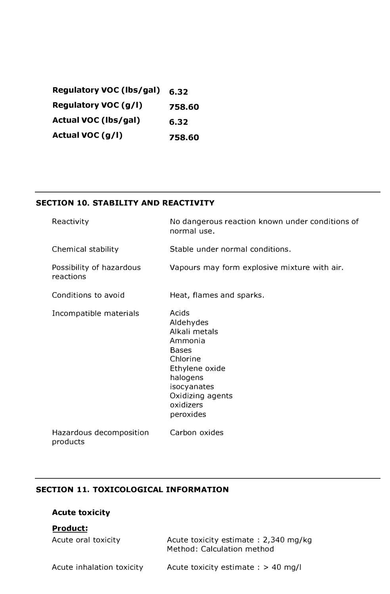**Regulatory VOC (lbs/gal) Regulatory VOC (g/l) Actual VOC (lbs/gal) Actual VOC (g/l) 6.32 758.60 6.32 758.60**

# **SECTION 10. STABILITY AND REACTIVITY**

| Reactivity                            | No dangerous reaction known under conditions of<br>normal use.                                                                                                        |
|---------------------------------------|-----------------------------------------------------------------------------------------------------------------------------------------------------------------------|
| Chemical stability                    | Stable under normal conditions.                                                                                                                                       |
| Possibility of hazardous<br>reactions | Vapours may form explosive mixture with air.                                                                                                                          |
| Conditions to avoid                   | Heat, flames and sparks.                                                                                                                                              |
| Incompatible materials                | Acids<br>Aldehydes<br>Alkali metals<br>Ammonia<br><b>Bases</b><br>Chlorine<br>Ethylene oxide<br>halogens<br>isocyanates<br>Oxidizing agents<br>oxidizers<br>peroxides |
| Hazardous decomposition<br>products   | Carbon oxides                                                                                                                                                         |

# **SECTION 11. TOXICOLOGICAL INFORMATION**

# **Acute toxicity**

# **Product:**

| Acute oral toxicity       | Acute toxicity estimate: 2,340 mg/kg<br>Method: Calculation method |
|---------------------------|--------------------------------------------------------------------|
| Acute inhalation toxicity | Acute toxicity estimate : $> 40$ mg/l                              |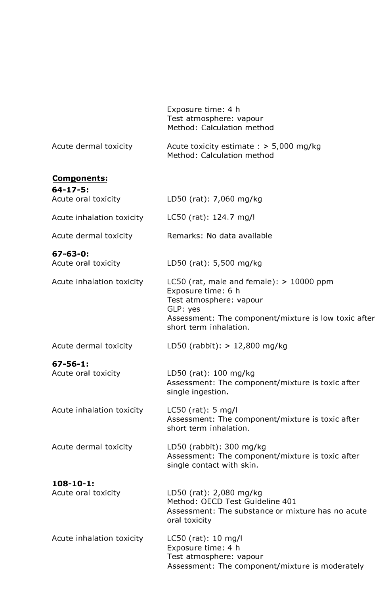|                                         | Exposure time: 4 h<br>Test atmosphere: vapour<br>Method: Calculation method                                                                                                               |
|-----------------------------------------|-------------------------------------------------------------------------------------------------------------------------------------------------------------------------------------------|
| Acute dermal toxicity                   | Acute toxicity estimate $:$ > 5,000 mg/kg<br>Method: Calculation method                                                                                                                   |
| Components:                             |                                                                                                                                                                                           |
| $64 - 17 - 5:$<br>Acute oral toxicity   | LD50 (rat): 7,060 mg/kg                                                                                                                                                                   |
| Acute inhalation toxicity               | LC50 (rat): 124.7 mg/l                                                                                                                                                                    |
| Acute dermal toxicity                   | Remarks: No data available                                                                                                                                                                |
| $67 - 63 - 0$ :<br>Acute oral toxicity  | LD50 (rat): 5,500 mg/kg                                                                                                                                                                   |
| Acute inhalation toxicity               | LC50 (rat, male and female): $> 10000$ ppm<br>Exposure time: 6 h<br>Test atmosphere: vapour<br>GLP: yes<br>Assessment: The component/mixture is low toxic after<br>short term inhalation. |
| Acute dermal toxicity                   | LD50 (rabbit): $> 12,800$ mg/kg                                                                                                                                                           |
| $67 - 56 - 1$ :<br>Acute oral toxicity  | LD50 (rat): 100 mg/kg<br>Assessment: The component/mixture is toxic after<br>single ingestion.                                                                                            |
| Acute inhalation toxicity               | $LC50$ (rat): 5 mg/l<br>Assessment: The component/mixture is toxic after<br>short term inhalation.                                                                                        |
| Acute dermal toxicity                   | LD50 (rabbit): 300 mg/kg<br>Assessment: The component/mixture is toxic after<br>single contact with skin.                                                                                 |
| $108 - 10 - 1$ :<br>Acute oral toxicity | LD50 (rat): 2,080 mg/kg<br>Method: OECD Test Guideline 401<br>Assessment: The substance or mixture has no acute<br>oral toxicity                                                          |
| Acute inhalation toxicity               | $LC50$ (rat): 10 mg/l<br>Exposure time: 4 h<br>Test atmosphere: vapour<br>Assessment: The component/mixture is moderately                                                                 |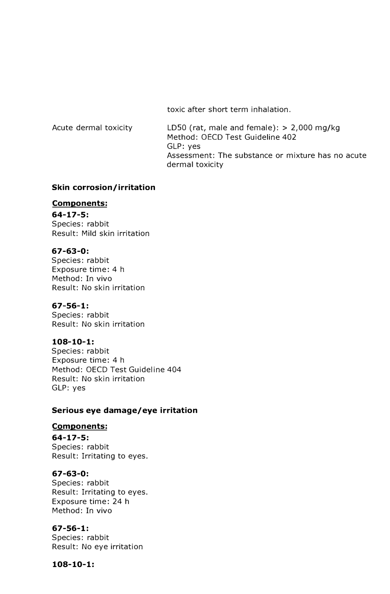toxic after short term inhalation.

| Acute dermal toxicity | LD50 (rat, male and female): $> 2,000$ mg/kg      |
|-----------------------|---------------------------------------------------|
|                       | Method: OECD Test Guideline 402                   |
|                       | GLP: yes                                          |
|                       | Assessment: The substance or mixture has no acute |
|                       | dermal toxicity                                   |

### **Skin corrosion/ irritation**

### **Components:**

**64-17-5:** Species: rabbit Result: Mild skin irritation

### **67-63-0:**

Species: rabbit Exposure time: 4 h Method: In vivo Result: No skin irritation

### **67-56-1:**

Species: rabbit Result: No skin irritation

# **108-10-1:**

Species: rabbit Exposure time: 4 h Method: OECD Test Guideline 404 Result: No skin irritation GLP: yes

# **Serious eye damage/eye irritation**

### **Components:**

**64-17-5:** Species: rabbit Result: Irritating to eyes.

### **67-63-0:**

Species: rabbit Result: Irritating to eyes. Exposure time: 24 h Method: In vivo

# **67-56-1:**

Species: rabbit Result: No eye irritation

**108-10-1:**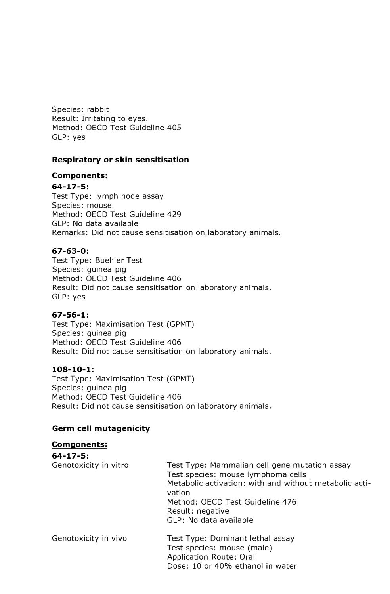Species: rabbit Result: Irritating to eyes. Method: OECD Test Guideline 405 GLP: yes

### **Respiratory or skin sensitisation**

### **Components:**

**64-17-5:**

Test Type: lymph node assay Species: mouse Method: OECD Test Guideline 429 GLP: No data available Remarks: Did not cause sensitisation on laboratory animals.

### **67-63-0:**

Test Type: Buehler Test Species: guinea pig Method: OECD Test Guideline 406 Result: Did not cause sensitisation on laboratory animals. GLP: yes

### **67-56-1:**

Test Type: Maximisation Test (GPMT) Species: guinea pig Method: OECD Test Guideline 406 Result: Did not cause sensitisation on laboratory animals.

### **108-10-1:**

Test Type: Maximisation Test (GPMT) Species: guinea pig Method: OECD Test Guideline 406 Result: Did not cause sensitisation on laboratory animals.

# **Germ cell mutagenicity**

| <b>Components:</b>    |                                                                                                                                                                                                                                          |
|-----------------------|------------------------------------------------------------------------------------------------------------------------------------------------------------------------------------------------------------------------------------------|
| $64 - 17 - 5:$        |                                                                                                                                                                                                                                          |
| Genotoxicity in vitro | Test Type: Mammalian cell gene mutation assay<br>Test species: mouse lymphoma cells<br>Metabolic activation: with and without metabolic acti-<br>vation<br>Method: OECD Test Guideline 476<br>Result: negative<br>GLP: No data available |
| Genotoxicity in vivo  | Test Type: Dominant lethal assay<br>Test species: mouse (male)<br>Application Route: Oral<br>Dose: 10 or 40% ethanol in water                                                                                                            |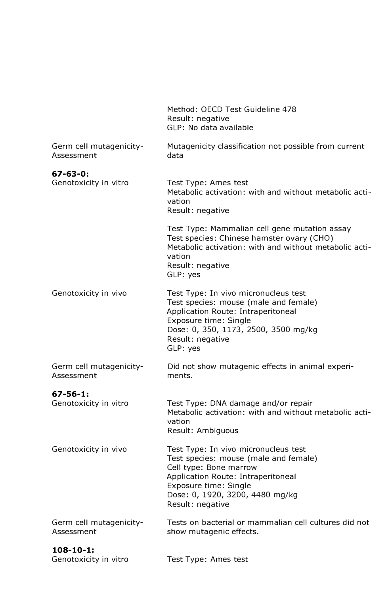|                                           | Method: OECD Test Guideline 478<br>Result: negative<br>GLP: No data available                                                                                                                                                 |
|-------------------------------------------|-------------------------------------------------------------------------------------------------------------------------------------------------------------------------------------------------------------------------------|
| Germ cell mutagenicity-<br>Assessment     | Mutagenicity classification not possible from current<br>data                                                                                                                                                                 |
| $67 - 63 - 0$ :                           |                                                                                                                                                                                                                               |
| Genotoxicity in vitro                     | Test Type: Ames test<br>Metabolic activation: with and without metabolic acti-<br>vation<br>Result: negative                                                                                                                  |
|                                           | Test Type: Mammalian cell gene mutation assay<br>Test species: Chinese hamster ovary (CHO)<br>Metabolic activation: with and without metabolic acti-<br>vation<br>Result: negative<br>GLP: yes                                |
| Genotoxicity in vivo                      | Test Type: In vivo micronucleus test<br>Test species: mouse (male and female)<br>Application Route: Intraperitoneal<br>Exposure time: Single<br>Dose: 0, 350, 1173, 2500, 3500 mg/kg<br>Result: negative<br>GLP: yes          |
| Germ cell mutagenicity-<br>Assessment     | Did not show mutagenic effects in animal experi-<br>ments.                                                                                                                                                                    |
| $67 - 56 - 1:$<br>Genotoxicity in vitro   | Test Type: DNA damage and/or repair<br>Metabolic activation: with and without metabolic acti-<br>vation<br>Result: Ambiguous                                                                                                  |
| Genotoxicity in vivo                      | Test Type: In vivo micronucleus test<br>Test species: mouse (male and female)<br>Cell type: Bone marrow<br>Application Route: Intraperitoneal<br>Exposure time: Single<br>Dose: 0, 1920, 3200, 4480 mg/kg<br>Result: negative |
| Germ cell mutagenicity-<br>Assessment     | Tests on bacterial or mammalian cell cultures did not<br>show mutagenic effects.                                                                                                                                              |
| $108 - 10 - 1$ :<br>Genotoxicity in vitro | Test Type: Ames test                                                                                                                                                                                                          |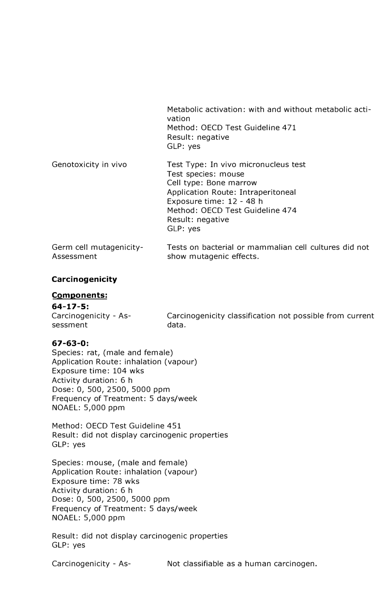|                                       | Metabolic activation: with and without metabolic acti-<br>vation<br>Method: OECD Test Guideline 471<br>Result: negative<br>GLP: yes                                                                                        |
|---------------------------------------|----------------------------------------------------------------------------------------------------------------------------------------------------------------------------------------------------------------------------|
| Genotoxicity in vivo                  | Test Type: In vivo micronucleus test<br>Test species: mouse<br>Cell type: Bone marrow<br>Application Route: Intraperitoneal<br>Exposure time: 12 - 48 h<br>Method: OECD Test Guideline 474<br>Result: negative<br>GLP: yes |
| Germ cell mutagenicity-<br>Assessment | Tests on bacterial or mammalian cell cultures did not<br>show mutagenic effects.                                                                                                                                           |

### **Carcinogenicity**

#### **Components:**

#### **64-17-5:**

Carcinogenicity - Assessment Carcinogenicity classification not possible from current data.

### **67-63-0:**

Species: rat, (male and female) Application Route: inhalation (vapour) Exposure time: 104 wks Activity duration: 6 h Dose: 0, 500, 2500, 5000 ppm Frequency of Treatment: 5 days/week NOAEL: 5,000 ppm

Method: OECD Test Guideline 451 Result: did not display carcinogenic properties GLP: yes

Species: mouse, (male and female) Application Route: inhalation (vapour) Exposure time: 78 wks Activity duration: 6 h Dose: 0, 500, 2500, 5000 ppm Frequency of Treatment: 5 days/week NOAEL: 5,000 ppm

Result: did not display carcinogenic properties GLP: yes

Carcinogenicity - As- Not classifiable as a human carcinogen.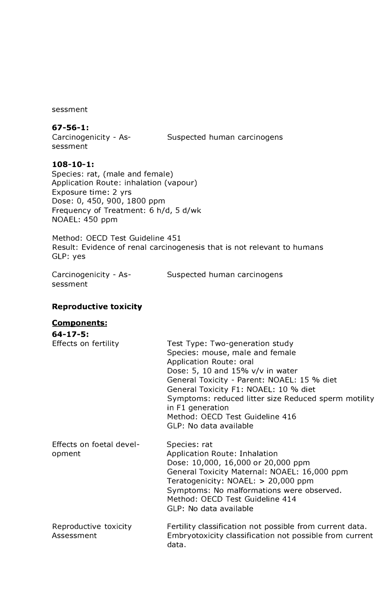sessment

### **67-56-1:**

sessment

Carcinogenicity - As-Suspected human carcinogens

**108-10-1:** Species: rat, (male and female) Application Route: inhalation (vapour) Exposure time: 2 yrs Dose: 0, 450, 900, 1800 ppm Frequency of Treatment: 6 h/d, 5 d/wk NOAEL: 450 ppm

Method: OECD Test Guideline 451 Result: Evidence of renal carcinogenesis that is not relevant to humans GLP: yes

sessment

Carcinogenicity - As-Suspected human carcinogens

#### **Reproductive toxicity**

### **Components:**

| $64 - 17 - 5:$                      |                                                                                                                                                                                                                                                                                                                                                                    |
|-------------------------------------|--------------------------------------------------------------------------------------------------------------------------------------------------------------------------------------------------------------------------------------------------------------------------------------------------------------------------------------------------------------------|
| Effects on fertility                | Test Type: Two-generation study<br>Species: mouse, male and female<br>Application Route: oral<br>Dose: 5, 10 and 15% v/v in water<br>General Toxicity - Parent: NOAEL: 15 % diet<br>General Toxicity F1: NOAEL: 10 % diet<br>Symptoms: reduced litter size Reduced sperm motility<br>in F1 generation<br>Method: OECD Test Guideline 416<br>GLP: No data available |
| Effects on foetal devel-<br>opment  | Species: rat<br>Application Route: Inhalation<br>Dose: 10,000, 16,000 or 20,000 ppm<br>General Toxicity Maternal: NOAEL: 16,000 ppm<br>Teratogenicity: NOAEL: > 20,000 ppm<br>Symptoms: No malformations were observed.<br>Method: OECD Test Guideline 414<br>GLP: No data available                                                                               |
| Reproductive toxicity<br>Assessment | Fertility classification not possible from current data.<br>Embryotoxicity classification not possible from current<br>data.                                                                                                                                                                                                                                       |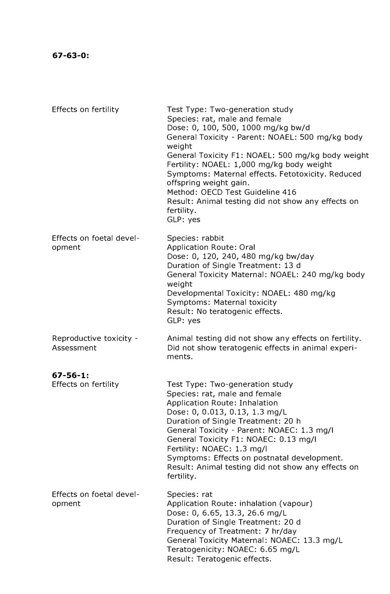| Effects on fertility                    | Test Type: Two-generation study<br>Species: rat, male and female<br>Dose: 0, 100, 500, 1000 mg/kg bw/d<br>General Toxicity - Parent: NOAEL: 500 mg/kg body<br>weight<br>General Toxicity F1: NOAEL: 500 mg/kg body weight<br>Fertility: NOAEL: 1,000 mg/kg body weight<br>Symptoms: Maternal effects. Fetotoxicity. Reduced<br>offspring weight gain.<br>Method: OECD Test Guideline 416<br>Result: Animal testing did not show any effects on<br>fertility.<br>GLP: yes |
|-----------------------------------------|--------------------------------------------------------------------------------------------------------------------------------------------------------------------------------------------------------------------------------------------------------------------------------------------------------------------------------------------------------------------------------------------------------------------------------------------------------------------------|
| Effects on foetal devel-<br>opment      | Species: rabbit<br><b>Application Route: Oral</b><br>Dose: 0, 120, 240, 480 mg/kg bw/day<br>Duration of Single Treatment: 13 d<br>General Toxicity Maternal: NOAEL: 240 mg/kg body<br>weight<br>Developmental Toxicity: NOAEL: 480 mg/kg<br>Symptoms: Maternal toxicity<br>Result: No teratogenic effects.<br>GLP: yes                                                                                                                                                   |
| Reproductive toxicity -<br>Assessment   | Animal testing did not show any effects on fertility.<br>Did not show teratogenic effects in animal experi-<br>ments.                                                                                                                                                                                                                                                                                                                                                    |
| $67 - 56 - 1$ :<br>Effects on fertility | Test Type: Two-generation study<br>Species: rat, male and female<br>Application Route: Inhalation<br>Dose: 0, 0.013, 0.13, 1.3 mg/L<br>Duration of Single Treatment: 20 h<br>General Toxicity - Parent: NOAEC: 1.3 mg/l<br>General Toxicity F1: NOAEC: 0.13 mg/l<br>Fertility: NOAEC: 1.3 mg/l<br>Symptoms: Effects on postnatal development.<br>Result: Animal testing did not show any effects on<br>fertility.                                                        |
| Effects on foetal devel-<br>opment      | Species: rat<br>Application Route: inhalation (vapour)<br>Dose: 0, 6.65, 13.3, 26.6 mg/L<br>Duration of Single Treatment: 20 d<br>Frequency of Treatment: 7 hr/day<br>General Toxicity Maternal: NOAEC: 13.3 mg/L<br>Teratogenicity: NOAEC: 6.65 mg/L<br>Result: Teratogenic effects.                                                                                                                                                                                    |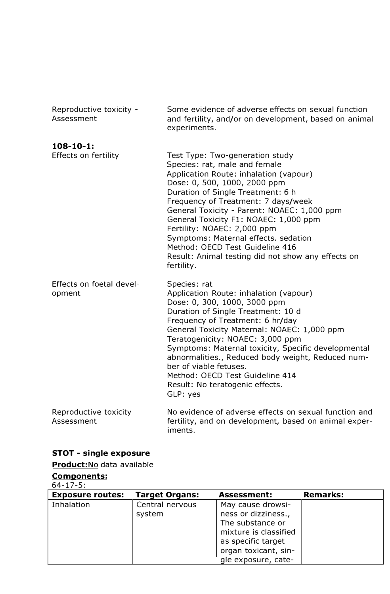| Reproductive toxicity -<br>Assessment    | Some evidence of adverse effects on sexual function<br>and fertility, and/or on development, based on animal<br>experiments.                                                                                                                                                                                                                                                                                                                                                                 |
|------------------------------------------|----------------------------------------------------------------------------------------------------------------------------------------------------------------------------------------------------------------------------------------------------------------------------------------------------------------------------------------------------------------------------------------------------------------------------------------------------------------------------------------------|
| $108 - 10 - 1$ :<br>Effects on fertility | Test Type: Two-generation study<br>Species: rat, male and female<br>Application Route: inhalation (vapour)<br>Dose: 0, 500, 1000, 2000 ppm<br>Duration of Single Treatment: 6 h<br>Frequency of Treatment: 7 days/week<br>General Toxicity - Parent: NOAEC: 1,000 ppm<br>General Toxicity F1: NOAEC: 1,000 ppm<br>Fertility: NOAEC: 2,000 ppm<br>Symptoms: Maternal effects. sedation<br>Method: OECD Test Guideline 416<br>Result: Animal testing did not show any effects on<br>fertility. |
| Effects on foetal devel-<br>opment       | Species: rat<br>Application Route: inhalation (vapour)<br>Dose: 0, 300, 1000, 3000 ppm<br>Duration of Single Treatment: 10 d<br>Frequency of Treatment: 6 hr/day<br>General Toxicity Maternal: NOAEC: 1,000 ppm<br>Teratogenicity: NOAEC: 3,000 ppm<br>Symptoms: Maternal toxicity, Specific developmental<br>abnormalities., Reduced body weight, Reduced num-<br>ber of viable fetuses.<br>Method: OECD Test Guideline 414<br>Result: No teratogenic effects.<br>GLP: yes                  |
| Reproductive toxicity<br>Assessment      | No evidence of adverse effects on sexual function and<br>fertility, and on development, based on animal exper-<br>iments.                                                                                                                                                                                                                                                                                                                                                                    |

# **STOT - single exposure**

# **Product:No** data available

# **Components:**

### 64-17-5:

| <b>Exposure routes:</b> | <b>Target Organs:</b> | <b>Assessment:</b>    | <b>Remarks:</b> |
|-------------------------|-----------------------|-----------------------|-----------------|
| Inhalation              | Central nervous       | May cause drowsi-     |                 |
|                         | system                | ness or dizziness.,   |                 |
|                         |                       | The substance or      |                 |
|                         |                       | mixture is classified |                 |
|                         |                       | as specific target    |                 |
|                         |                       | organ toxicant, sin-  |                 |
|                         |                       | gle exposure, cate-   |                 |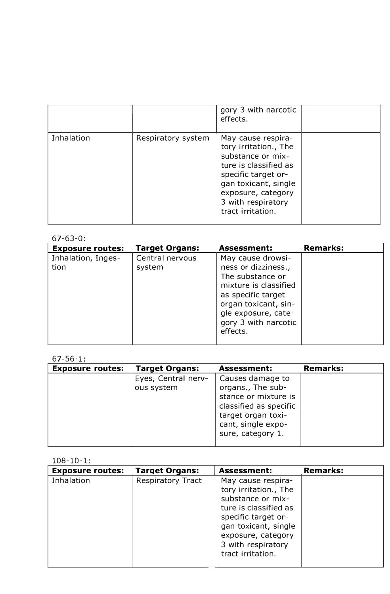|            |                    | gory 3 with narcotic<br>effects.                                                                                                                                                                          |  |
|------------|--------------------|-----------------------------------------------------------------------------------------------------------------------------------------------------------------------------------------------------------|--|
| Inhalation | Respiratory system | May cause respira-<br>tory irritation., The<br>substance or mix-<br>ture is classified as<br>specific target or-<br>gan toxicant, single<br>exposure, category<br>3 with respiratory<br>tract irritation. |  |

# $67-63-0$

| <b>Exposure routes:</b>    | <b>Target Organs:</b>     | <b>Assessment:</b>                                                                                                                                                                             | <b>Remarks:</b> |
|----------------------------|---------------------------|------------------------------------------------------------------------------------------------------------------------------------------------------------------------------------------------|-----------------|
| Inhalation, Inges-<br>tion | Central nervous<br>system | May cause drowsi-<br>ness or dizziness.,<br>The substance or<br>mixture is classified<br>as specific target<br>organ toxicant, sin-<br>gle exposure, cate-<br>gory 3 with narcotic<br>effects. |                 |

# 67-56-1:

| <b>Exposure routes:</b> | <b>Target Organs:</b>             | <b>Assessment:</b>                                                                                                                                       | <b>Remarks:</b> |
|-------------------------|-----------------------------------|----------------------------------------------------------------------------------------------------------------------------------------------------------|-----------------|
|                         | Eyes, Central nerv-<br>ous system | Causes damage to<br>organs., The sub-<br>stance or mixture is<br>classified as specific<br>target organ toxi-<br>cant, single expo-<br>sure, category 1. |                 |

### $108 - 10 - 1$

| <b>Exposure routes:</b> | <b>Target Organs:</b>    | <b>Assessment:</b>                                                                                                                                                                                        | <b>Remarks:</b> |
|-------------------------|--------------------------|-----------------------------------------------------------------------------------------------------------------------------------------------------------------------------------------------------------|-----------------|
| Inhalation              | <b>Respiratory Tract</b> | May cause respira-<br>tory irritation., The<br>substance or mix-<br>ture is classified as<br>specific target or-<br>gan toxicant, single<br>exposure, category<br>3 with respiratory<br>tract irritation. |                 |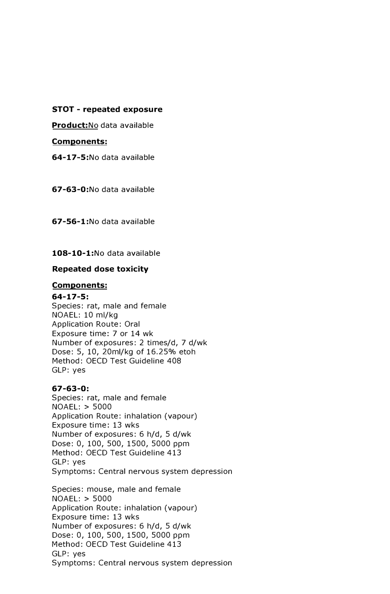**STOT - repeated exposure** 

**Product:No** data available

**Components:** 

**64-17-5:No** data available

**67-63-0:No** data available

**67-56-1:No** data available

**108-10-1:No** data available

### **Repeated dose toxicity**

### **Components:**

#### **64-17-5:**

Species: rat, male and female NOAEL: 10 ml/kg Application Route: Oral Exposure time: 7 or 14 wk Number of exposures: 2 times/d, 7 d/wk Dose: 5, 10, 20ml/kg of 16.25% etoh Method: OECD Test Guideline 408 GLP: yes

### **67-63-0:**

Species: rat, male and female NOAEL: > 5000 Application Route: inhalation (vapour) Exposure time: 13 wks Number of exposures: 6 h/d, 5 d/wk Dose: 0, 100, 500, 1500, 5000 ppm Method: OECD Test Guideline 413 GLP: yes Symptoms: Central nervous system depression

Species: mouse, male and female NOAEL: > 5000 Application Route: inhalation (vapour) Exposure time: 13 wks Number of exposures: 6 h/d, 5 d/wk Dose: 0, 100, 500, 1500, 5000 ppm Method: OECD Test Guideline 413 GLP: yes Symptoms: Central nervous system depression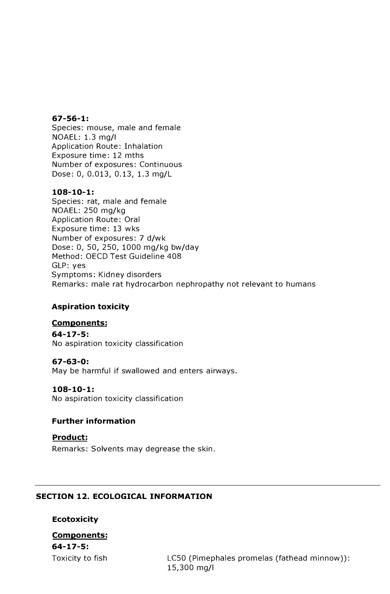#### **67-56-1:**

Species: mouse, male and female NOAEL: 1.3 mg/I Application Route: Inhalation Exposure time: 12 mths Number of exposures: Continuous Dose: 0, 0.013, 0.13, 1.3 mg/L

### **108-10-1:**

Species: rat, male and female NOAEL: 250 mg/kg Application Route: Oral Exposure time: 13 wks Number of exposures: 7 d/wk Dose: 0, 50, 250, 1000 mg/kg bw/day Method: OECD Test Guideline 408 GLP: yes Symptoms: Kidney disorders Remarks: male rat hydrocarbon nephropathy not relevant to humans

# **Aspiration toxicity**

# **Components:**

**64-17-5:** No aspiration toxicity classification

### **67-63-0:**

May be harmful if swallowed and enters airways.

### **108-10-1:**

No aspiration toxicity classification

### **Further information**

### **Product:**

Remarks: Solvents may degrease the skin.

# **SECTION 12. ECOLOGICAL INFORMATION**

### **Ecotoxicity**

# **Components: 64-17-5:**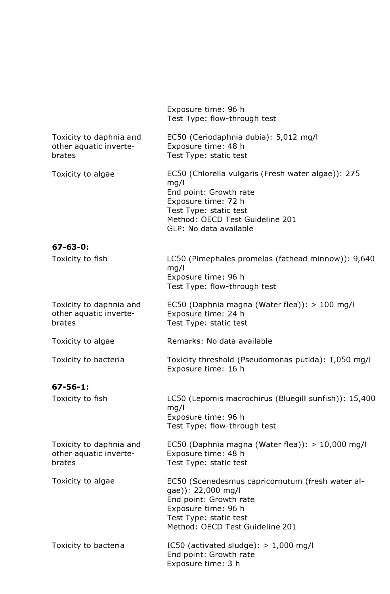|                                                             | Exposure time: 96 h<br>Test Type: flow-through test                                                                                                                                                |
|-------------------------------------------------------------|----------------------------------------------------------------------------------------------------------------------------------------------------------------------------------------------------|
| Toxicity to daphnia and<br>other aquatic inverte-<br>brates | EC50 (Ceriodaphnia dubia): 5,012 mg/l<br>Exposure time: 48 h<br>Test Type: static test                                                                                                             |
| Toxicity to algae                                           | EC50 (Chlorella vulgaris (Fresh water algae)): 275<br>mg/1<br>End point: Growth rate<br>Exposure time: 72 h<br>Test Type: static test<br>Method: OECD Test Guideline 201<br>GLP: No data available |
| $67 - 63 - 0:$                                              |                                                                                                                                                                                                    |
| Toxicity to fish                                            | LC50 (Pimephales promelas (fathead minnow)): 9,640<br>mg/1<br>Exposure time: 96 h<br>Test Type: flow-through test                                                                                  |
| Toxicity to daphnia and<br>other aquatic inverte-<br>brates | EC50 (Daphnia magna (Water flea)): > 100 mg/l<br>Exposure time: 24 h<br>Test Type: static test                                                                                                     |
| Toxicity to algae                                           | Remarks: No data available                                                                                                                                                                         |
| Toxicity to bacteria                                        | Toxicity threshold (Pseudomonas putida): 1,050 mg/l<br>Exposure time: 16 h                                                                                                                         |
| $67 - 56 - 1$ :                                             |                                                                                                                                                                                                    |
| Toxicity to fish                                            | LC50 (Lepomis macrochirus (Bluegill sunfish)): 15,400<br>mg/l<br>Exposure time: 96 h<br>Test Type: flow-through test                                                                               |
| Toxicity to daphnia and<br>other aquatic inverte-<br>brates | EC50 (Daphnia magna (Water flea)): > 10,000 mg/l<br>Exposure time: 48 h<br>Test Type: static test                                                                                                  |
| Toxicity to algae                                           | EC50 (Scenedesmus capricornutum (fresh water al-<br>gae)): 22,000 mg/l<br>End point: Growth rate<br>Exposure time: 96 h<br>Test Type: static test<br>Method: OECD Test Guideline 201               |
| Toxicity to bacteria                                        | IC50 (activated sludge): $> 1,000$ mg/l<br>End point: Growth rate<br>Exposure time: 3 h                                                                                                            |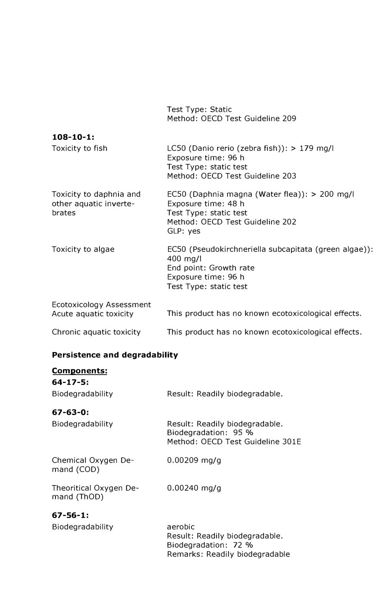Test Type: Static Method: OECD Test Guideline 209

| $108 - 10 - 1$ :                                                   |                                                                                                                                               |
|--------------------------------------------------------------------|-----------------------------------------------------------------------------------------------------------------------------------------------|
| Toxicity to fish                                                   | LC50 (Danio rerio (zebra fish)): $> 179$ mg/l<br>Exposure time: 96 h<br>Test Type: static test<br>Method: OECD Test Guideline 203             |
| Toxicity to daphnia and<br>other aquatic inverte-<br><b>brates</b> | EC50 (Daphnia magna (Water flea)): > 200 mg/l<br>Exposure time: 48 h<br>Test Type: static test<br>Method: OECD Test Guideline 202<br>GLP: yes |
| Toxicity to algae                                                  | EC50 (Pseudokirchneriella subcapitata (green algae)):<br>400 mg/l<br>End point: Growth rate<br>Exposure time: 96 h<br>Test Type: static test  |
| Ecotoxicology Assessment<br>Acute aquatic toxicity                 | This product has no known ecotoxicological effects.                                                                                           |

# Chronic aquatic toxicity This product has no known ecotoxicological effects.

# **Persistence and degradability**

| <b>Components:</b>                    |                                                                                                     |
|---------------------------------------|-----------------------------------------------------------------------------------------------------|
| 64-17-5:                              |                                                                                                     |
| Biodegradability                      | Result: Readily biodegradable.                                                                      |
| 67-63-0:                              |                                                                                                     |
| Biodegradability                      | Result: Readily biodegradable.<br>Biodegradation: 95 %<br>Method: OECD Test Guideline 301E          |
| Chemical Oxygen De-<br>mand (COD)     | $0.00209$ mg/g                                                                                      |
| Theoritical Oxygen De-<br>mand (ThOD) | $0.00240$ mg/g                                                                                      |
| 67-56-1:                              |                                                                                                     |
| Biodegradability                      | aerobic<br>Result: Readily biodegradable.<br>Biodegradation: 72 %<br>Remarks: Readily biodegradable |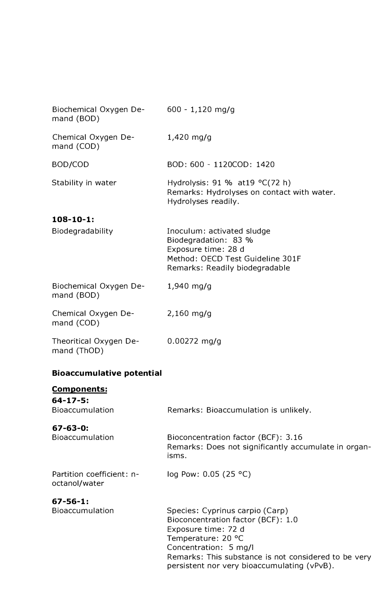| Biochemical Oxygen De- 600 - 1,120 mg/g<br>mand (BOD) |                                                                                                                                                 |
|-------------------------------------------------------|-------------------------------------------------------------------------------------------------------------------------------------------------|
| Chemical Oxygen De-<br>mand (COD)                     | $1,420$ mg/g                                                                                                                                    |
| BOD/COD                                               | BOD: 600 - 1120COD: 1420                                                                                                                        |
| Stability in water                                    | Hydrolysis: 91 % at 19 $^{\circ}$ C(72 h)<br>Remarks: Hydrolyses on contact with water.<br>Hydrolyses readily.                                  |
| $108 - 10 - 1$ :                                      |                                                                                                                                                 |
| Biodegradability                                      | Inoculum: activated sludge<br>Biodegradation: 83 %<br>Exposure time: 28 d<br>Method: OECD Test Guideline 301F<br>Remarks: Readily biodegradable |
| Biochemical Oxygen De-<br>mand (BOD)                  | $1,940$ mg/g                                                                                                                                    |
| Chemical Oxygen De-<br>mand (COD)                     | $2,160$ mg/g                                                                                                                                    |
| Theoritical Oxygen De-<br>mand (ThOD)                 | $0.00272$ mg/g                                                                                                                                  |
| <b>Bioaccumulative potential</b>                      |                                                                                                                                                 |
| Components:                                           |                                                                                                                                                 |

**64-17-5:**

| <b>Bioaccumulation</b>                     | Remarks: Bioaccumulation is unlikely.                                                                |
|--------------------------------------------|------------------------------------------------------------------------------------------------------|
| $67 - 63 - 0:$<br><b>Bioaccumulation</b>   | Bioconcentration factor (BCF): 3.16<br>Remarks: Does not significantly accumulate in organ-<br>isms. |
| Partition coefficient: n-<br>octanol/water | log Pow: $0.05$ (25 °C)                                                                              |
| $67 - 56 - 1:$<br><b>Bioaccumulation</b>   | Species: Cyprinus carpio (Carp)                                                                      |

Bioaccumulation Species: Cyprinus carpio (Carp) Bioconcentration factor ( BCF): l. 0 Exposure time: 72 d Temperature: 20 °C Concentration: 5 mg/I Remarks: This substance is not considered to be very persistent nor very bioaccumulating (vPvB).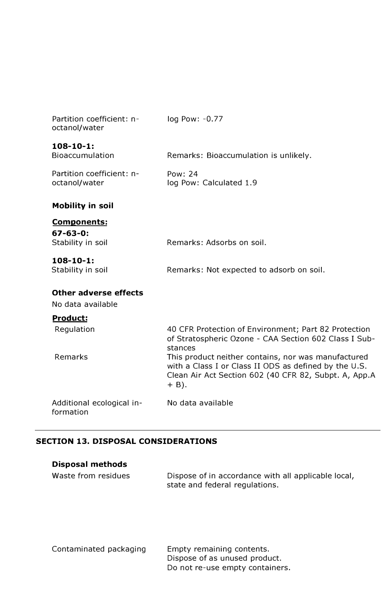| Partition coefficient: n-<br>octanol/water | log Pow: -0.77                                                                                                                                                                   |
|--------------------------------------------|----------------------------------------------------------------------------------------------------------------------------------------------------------------------------------|
| $108 - 10 - 1:$<br>Bioaccumulation         | Remarks: Bioaccumulation is unlikely.                                                                                                                                            |
| Partition coefficient: n-<br>octanol/water | Pow: 24<br>log Pow: Calculated 1.9                                                                                                                                               |
| <b>Mobility in soil</b>                    |                                                                                                                                                                                  |
| <b>Components:</b>                         |                                                                                                                                                                                  |
| $67 - 63 - 0:$<br>Stability in soil        | Remarks: Adsorbs on soil.                                                                                                                                                        |
| $108 - 10 - 1:$<br>Stability in soil       | Remarks: Not expected to adsorb on soil.                                                                                                                                         |
| Other adverse effects                      |                                                                                                                                                                                  |
| No data available                          |                                                                                                                                                                                  |
| <b>Product:</b>                            |                                                                                                                                                                                  |
| Regulation                                 | 40 CFR Protection of Environment; Part 82 Protection<br>of Stratospheric Ozone - CAA Section 602 Class I Sub-<br>stances                                                         |
| Remarks                                    | This product neither contains, nor was manufactured<br>with a Class I or Class II ODS as defined by the U.S.<br>Clean Air Act Section 602 (40 CFR 82, Subpt. A, App.A<br>$+$ B). |
| Additional ecological in-<br>formation     | No data available                                                                                                                                                                |

# **SECTION 13. DISPOSAL CONSIDERATIONS**

| <b>Disposal methods</b> |                                                                                       |
|-------------------------|---------------------------------------------------------------------------------------|
| Waste from residues     | Dispose of in accordance with all applicable local,<br>state and federal regulations. |

Contaminated packaging Empty remaining contents. Dispose of as unused product. Do not re-use empty containers.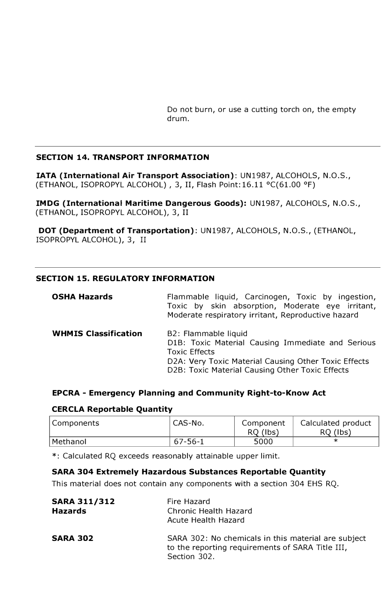Do not burn, or use a cutting torch on, the empty drum.

### **SECTION 14. TRANSPORT INFORMATION**

**IATA (International Air Transport Association):** UN1987, ALCOHOLS, N.O.S., (ETHANOL, ISOPROPYL ALCOHOL) , 3, II, Flash Point: 16.11 °C(61.00 °F)

**IMDG (International Maritime Dangerous Goods):** UN1987, ALCOHOLS, N.O.S., (ETHANOL, ISOPROPYL ALCOHOL), 3, II

**DOT (Department of Transportation):** UN1987, ALCOHOLS, N.O.S., (ETHANOL, ISOPROPYL ALCOHOL), 3, II

### **SECTION 15. REGULATORY INFORMATION**

| <b>OSHA Hazards</b>         | Flammable liquid, Carcinogen, Toxic by ingestion,<br>Toxic by skin absorption, Moderate eye irritant,<br>Moderate respiratory irritant, Reproductive hazard                                                  |
|-----------------------------|--------------------------------------------------------------------------------------------------------------------------------------------------------------------------------------------------------------|
| <b>WHMIS Classification</b> | B2: Flammable liquid<br>D1B: Toxic Material Causing Immediate and Serious<br><b>Toxic Effects</b><br>D2A: Very Toxic Material Causing Other Toxic Effects<br>D2B: Toxic Material Causing Other Toxic Effects |

### **EPCRA - Emergency Planning and Community Right-to-Know Act**

#### **CERCLA Reportable Quantity**

| Components | ' CAS-No. | Component<br>RQ (lbs) | Calculated product<br>RQ (lbs) |
|------------|-----------|-----------------------|--------------------------------|
| Methanol   | 67-56-1   | 5000                  |                                |

\*: Calculated RQ exceeds reasonably attainable upper limit.

### **SARA 304 Extremely Hazardous Substances Reportable Quantity**

This material does not contain any components with a section 304 EHS RQ.

| <b>SARA 311/312</b><br><b>Hazards</b> | Fire Hazard<br>Chronic Health Hazard<br>Acute Health Hazard                                                             |
|---------------------------------------|-------------------------------------------------------------------------------------------------------------------------|
| <b>SARA 302</b>                       | SARA 302: No chemicals in this material are subject<br>to the reporting requirements of SARA Title III,<br>Section 302. |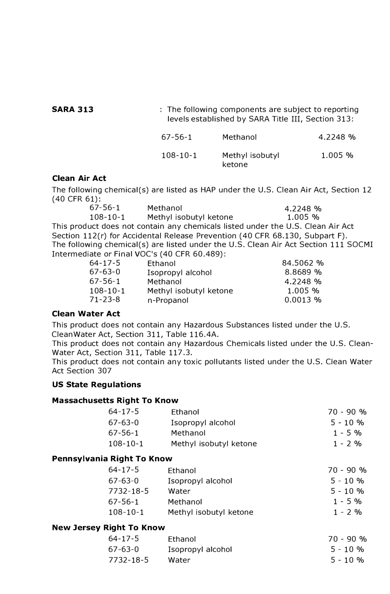**SARA 313** : The following components are subject to reporting levels established by SARA Title III, Section 313: 67-56-1 Methanol 4.2248 %

#### 108-10-1 Methyl isobutyl 1.005 % ketone

### **Clean Air Act**

The following chemical(s) are listed as HAP under the U.S. Clean Air Act, Section 12 (40 CFR 61):

| $67 - 56 - 1$  | Methanol                                                                     | 4.2248%                                                                             |
|----------------|------------------------------------------------------------------------------|-------------------------------------------------------------------------------------|
| $108 - 10 - 1$ | Methyl isobutyl ketone                                                       | $1.005\%$                                                                           |
|                |                                                                              | This product does not contain any chemicals listed under the U.S. Clean Air Act     |
|                | Section 112(r) for Accidental Release Prevention (40 CFR 68.130, Subpart F). |                                                                                     |
|                |                                                                              | The following chemical(s) are listed under the U.S. Clean Air Act Section 111 SOCMI |
|                | Intermediate or Final VOC's (40 CFR 60.489):                                 |                                                                                     |

| 64-17-5        | Ethanol                | 84.5062 %  |
|----------------|------------------------|------------|
| 67-63-0        | Isopropyl alcohol      | 8.8689 %   |
| 67-56-1        | Methanol               | 4.2248 %   |
| $108 - 10 - 1$ | Methyl isobutyl ketone | 1.005%     |
| 71-23-8        | n-Propanol             | $0.0013$ % |
|                |                        |            |

#### **Clean Water Act**

This product does not contain any Hazardous Substances listed under the U.S. CleanWater Act, Section 311, Table 116.4A.

This product does not contain any Hazardous Chemicals listed under the U.S. Clean-Water Act, Section 311, Table 117.3.

This product does not contain any toxic pollutants listed under the U.S. Clean Water Act Section 307

### **US State Regulations**

### **Massachusetts Right To Know**

| $64 - 17 - 5$  | Ethanol                | $70 - 90 %$ |
|----------------|------------------------|-------------|
| $67 - 63 - 0$  | Isopropyl alcohol      | $5 - 10 \%$ |
| $67 - 56 - 1$  | Methanol               | $1 - 5\%$   |
| $108 - 10 - 1$ | Methyl isobutyl ketone | $1 - 2 %$   |

### **Pennsylvania Right To Know**

| $64 - 17 - 5$  | Ethanol                | $70 - 90 %$ |
|----------------|------------------------|-------------|
| $67 - 63 - 0$  | Isopropyl alcohol      | $5 - 10%$   |
| 7732-18-5      | Water                  | $5 - 10%$   |
| $67 - 56 - 1$  | Methanol               | $1 - 5\%$   |
| $108 - 10 - 1$ | Methyl isobutyl ketone | $1 - 2 %$   |

### **New Jersey Right To Know**

| $64 - 17 - 5$ | Fthanol           | $70 - 90 %$ |
|---------------|-------------------|-------------|
| 67-63-0       | Isopropyl alcohol | $5 - 10 \%$ |
| 7732-18-5     | Water             | $5 - 10 \%$ |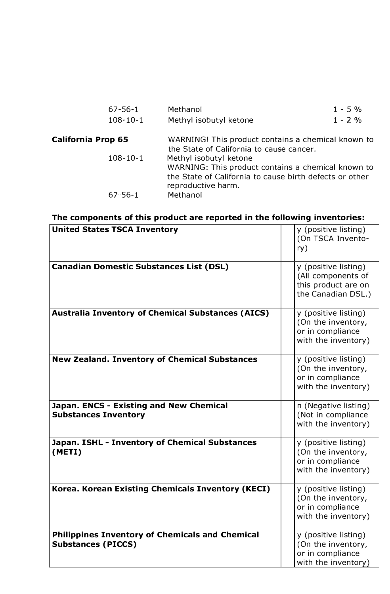| $67 - 56 - 1$             | Methanol                                                                                                                                                      | $1 - 5%$ |
|---------------------------|---------------------------------------------------------------------------------------------------------------------------------------------------------------|----------|
| $108 - 10 - 1$            | Methyl isobutyl ketone                                                                                                                                        | $1 - 2%$ |
| <b>California Prop 65</b> | WARNING! This product contains a chemical known to<br>the State of California to cause cancer.                                                                |          |
| $108 - 10 - 1$            | Methyl isobutyl ketone<br>WARNING: This product contains a chemical known to<br>the State of California to cause birth defects or other<br>reproductive harm. |          |
| $67 - 56 - 1$             | Methanol                                                                                                                                                      |          |

# **The components of this product are reported in the following inventories:**

| <b>United States TSCA Inventory</b>                                                 | y (positive listing)<br>(On TSCA Invento-<br>ry)                                        |
|-------------------------------------------------------------------------------------|-----------------------------------------------------------------------------------------|
| <b>Canadian Domestic Substances List (DSL)</b>                                      | y (positive listing)<br>(All components of<br>this product are on<br>the Canadian DSL.) |
| <b>Australia Inventory of Chemical Substances (AICS)</b>                            | y (positive listing)<br>(On the inventory,<br>or in compliance<br>with the inventory)   |
| <b>New Zealand. Inventory of Chemical Substances</b>                                | y (positive listing)<br>(On the inventory,<br>or in compliance<br>with the inventory)   |
| Japan. ENCS - Existing and New Chemical<br><b>Substances Inventory</b>              | n (Negative listing)<br>(Not in compliance<br>with the inventory)                       |
| Japan. ISHL - Inventory of Chemical Substances<br>(METI)                            | y (positive listing)<br>(On the inventory,<br>or in compliance<br>with the inventory)   |
| Korea. Korean Existing Chemicals Inventory (KECI)                                   | y (positive listing)<br>(On the inventory,<br>or in compliance<br>with the inventory)   |
| <b>Philippines Inventory of Chemicals and Chemical</b><br><b>Substances (PICCS)</b> | y (positive listing)<br>(On the inventory,<br>or in compliance<br>with the inventory)   |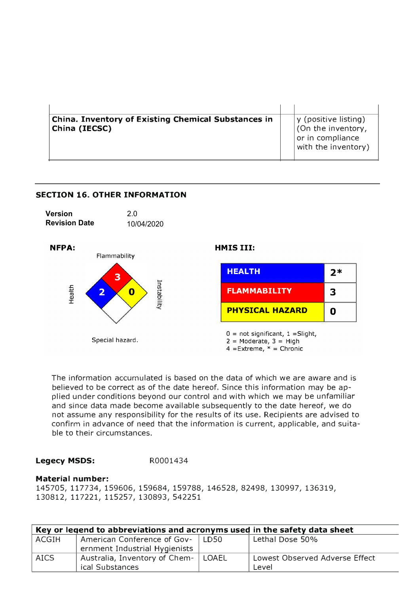| China. Inventory of Existing Chemical Substances in | y (positive listing)                    |
|-----------------------------------------------------|-----------------------------------------|
| China (IECSC)                                       | (On the inventory,                      |
|                                                     | or in compliance<br>with the inventory) |
|                                                     |                                         |



The information accumulated is based on the data of which we are aware and is believed to be correct as of the date hereof. Since this information may be applied under conditions beyond our control and with which we may be unfamiliar and since data made become available subsequently to the date hereof, we do not assume any responsibility for the results of its use. Recipients are advised to confirm in advance of need that the information is current, applicable, and suitable to their circumstances.

### **Legecy MSDS:** R0001434

**SECTION 16. OTHER INFORMATION** 

#### **Material number:**

145705, 117734, 159606, 159684, 159788, 146528, 82498, 130997, 136319, 130812, 117221, 115257, 130893, 542251

| Key or legend to abbreviations and acronyms used in the safety data sheet |                                       |  |                                |  |
|---------------------------------------------------------------------------|---------------------------------------|--|--------------------------------|--|
| ACGIH                                                                     | American Conference of Gov-   LD50    |  | Lethal Dose 50%                |  |
|                                                                           | ernment Industrial Hygienists         |  |                                |  |
| <b>AICS</b>                                                               | Australia, Inventory of Chem-   LOAEL |  | Lowest Observed Adverse Effect |  |
|                                                                           | ical Substances                       |  | Level                          |  |